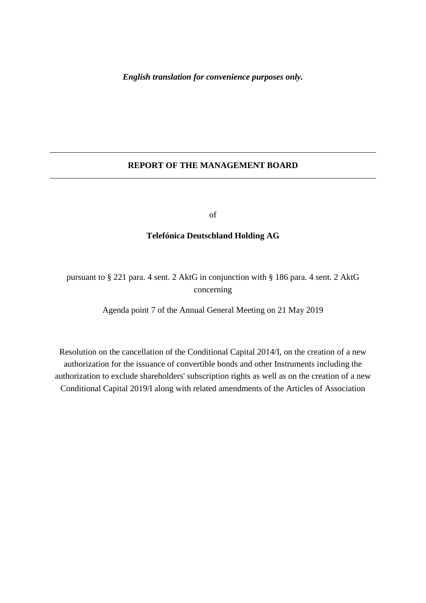## **REPORT OF THE MANAGEMENT BOARD**

of

## **Telefónica Deutschland Holding AG**

pursuant to § 221 para. 4 sent. 2 AktG in conjunction with § 186 para. 4 sent. 2 AktG concerning

Agenda point 7 of the Annual General Meeting on 21 May 2019

Resolution on the cancellation of the Conditional Capital 2014/I, on the creation of a new authorization for the issuance of convertible bonds and other Instruments including the authorization to exclude shareholders' subscription rights as well as on the creation of a new Conditional Capital 2019/I along with related amendments of the Articles of Association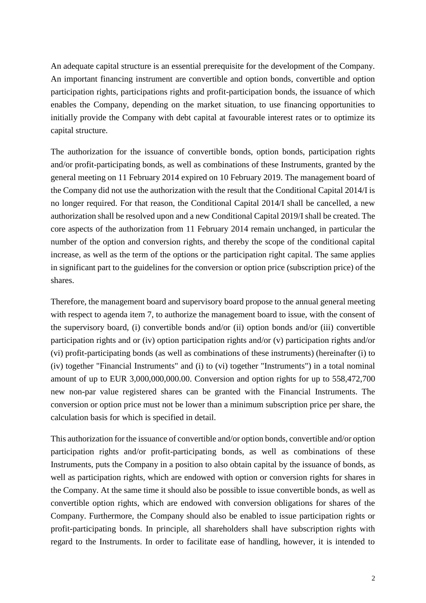An adequate capital structure is an essential prerequisite for the development of the Company. An important financing instrument are convertible and option bonds, convertible and option participation rights, participations rights and profit-participation bonds, the issuance of which enables the Company, depending on the market situation, to use financing opportunities to initially provide the Company with debt capital at favourable interest rates or to optimize its capital structure.

The authorization for the issuance of convertible bonds, option bonds, participation rights and/or profit-participating bonds, as well as combinations of these Instruments, granted by the general meeting on 11 February 2014 expired on 10 February 2019. The management board of the Company did not use the authorization with the result that the Conditional Capital 2014/I is no longer required. For that reason, the Conditional Capital 2014/I shall be cancelled, a new authorization shall be resolved upon and a new Conditional Capital 2019/I shall be created. The core aspects of the authorization from 11 February 2014 remain unchanged, in particular the number of the option and conversion rights, and thereby the scope of the conditional capital increase, as well as the term of the options or the participation right capital. The same applies in significant part to the guidelines for the conversion or option price (subscription price) of the shares.

Therefore, the management board and supervisory board propose to the annual general meeting with respect to agenda item 7, to authorize the management board to issue, with the consent of the supervisory board, (i) convertible bonds and/or (ii) option bonds and/or (iii) convertible participation rights and or (iv) option participation rights and/or (v) participation rights and/or (vi) profit-participating bonds (as well as combinations of these instruments) (hereinafter (i) to (iv) together "Financial Instruments" and (i) to (vi) together "Instruments") in a total nominal amount of up to EUR 3,000,000,000.00. Conversion and option rights for up to 558,472,700 new non-par value registered shares can be granted with the Financial Instruments. The conversion or option price must not be lower than a minimum subscription price per share, the calculation basis for which is specified in detail.

This authorization for the issuance of convertible and/or option bonds, convertible and/or option participation rights and/or profit-participating bonds, as well as combinations of these Instruments, puts the Company in a position to also obtain capital by the issuance of bonds, as well as participation rights, which are endowed with option or conversion rights for shares in the Company. At the same time it should also be possible to issue convertible bonds, as well as convertible option rights, which are endowed with conversion obligations for shares of the Company. Furthermore, the Company should also be enabled to issue participation rights or profit-participating bonds. In principle, all shareholders shall have subscription rights with regard to the Instruments. In order to facilitate ease of handling, however, it is intended to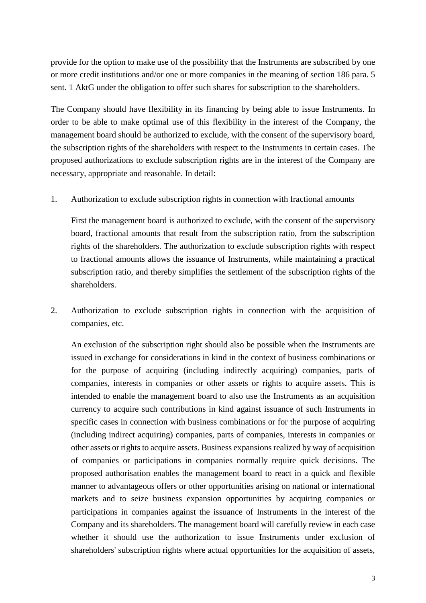provide for the option to make use of the possibility that the Instruments are subscribed by one or more credit institutions and/or one or more companies in the meaning of section 186 para. 5 sent. 1 AktG under the obligation to offer such shares for subscription to the shareholders.

The Company should have flexibility in its financing by being able to issue Instruments. In order to be able to make optimal use of this flexibility in the interest of the Company, the management board should be authorized to exclude, with the consent of the supervisory board, the subscription rights of the shareholders with respect to the Instruments in certain cases. The proposed authorizations to exclude subscription rights are in the interest of the Company are necessary, appropriate and reasonable. In detail:

1. Authorization to exclude subscription rights in connection with fractional amounts

First the management board is authorized to exclude, with the consent of the supervisory board, fractional amounts that result from the subscription ratio, from the subscription rights of the shareholders. The authorization to exclude subscription rights with respect to fractional amounts allows the issuance of Instruments, while maintaining a practical subscription ratio, and thereby simplifies the settlement of the subscription rights of the shareholders.

2. Authorization to exclude subscription rights in connection with the acquisition of companies, etc.

An exclusion of the subscription right should also be possible when the Instruments are issued in exchange for considerations in kind in the context of business combinations or for the purpose of acquiring (including indirectly acquiring) companies, parts of companies, interests in companies or other assets or rights to acquire assets. This is intended to enable the management board to also use the Instruments as an acquisition currency to acquire such contributions in kind against issuance of such Instruments in specific cases in connection with business combinations or for the purpose of acquiring (including indirect acquiring) companies, parts of companies, interests in companies or other assets or rights to acquire assets. Business expansions realized by way of acquisition of companies or participations in companies normally require quick decisions. The proposed authorisation enables the management board to react in a quick and flexible manner to advantageous offers or other opportunities arising on national or international markets and to seize business expansion opportunities by acquiring companies or participations in companies against the issuance of Instruments in the interest of the Company and its shareholders. The management board will carefully review in each case whether it should use the authorization to issue Instruments under exclusion of shareholders' subscription rights where actual opportunities for the acquisition of assets,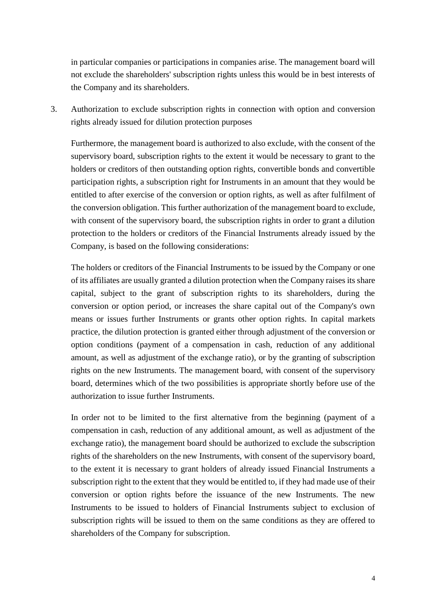in particular companies or participations in companies arise. The management board will not exclude the shareholders' subscription rights unless this would be in best interests of the Company and its shareholders.

3. Authorization to exclude subscription rights in connection with option and conversion rights already issued for dilution protection purposes

Furthermore, the management board is authorized to also exclude, with the consent of the supervisory board, subscription rights to the extent it would be necessary to grant to the holders or creditors of then outstanding option rights, convertible bonds and convertible participation rights, a subscription right for Instruments in an amount that they would be entitled to after exercise of the conversion or option rights, as well as after fulfilment of the conversion obligation. This further authorization of the management board to exclude, with consent of the supervisory board, the subscription rights in order to grant a dilution protection to the holders or creditors of the Financial Instruments already issued by the Company, is based on the following considerations:

The holders or creditors of the Financial Instruments to be issued by the Company or one of its affiliates are usually granted a dilution protection when the Company raises its share capital, subject to the grant of subscription rights to its shareholders, during the conversion or option period, or increases the share capital out of the Company's own means or issues further Instruments or grants other option rights. In capital markets practice, the dilution protection is granted either through adjustment of the conversion or option conditions (payment of a compensation in cash, reduction of any additional amount, as well as adjustment of the exchange ratio), or by the granting of subscription rights on the new Instruments. The management board, with consent of the supervisory board, determines which of the two possibilities is appropriate shortly before use of the authorization to issue further Instruments.

In order not to be limited to the first alternative from the beginning (payment of a compensation in cash, reduction of any additional amount, as well as adjustment of the exchange ratio), the management board should be authorized to exclude the subscription rights of the shareholders on the new Instruments, with consent of the supervisory board, to the extent it is necessary to grant holders of already issued Financial Instruments a subscription right to the extent that they would be entitled to, if they had made use of their conversion or option rights before the issuance of the new Instruments. The new Instruments to be issued to holders of Financial Instruments subject to exclusion of subscription rights will be issued to them on the same conditions as they are offered to shareholders of the Company for subscription.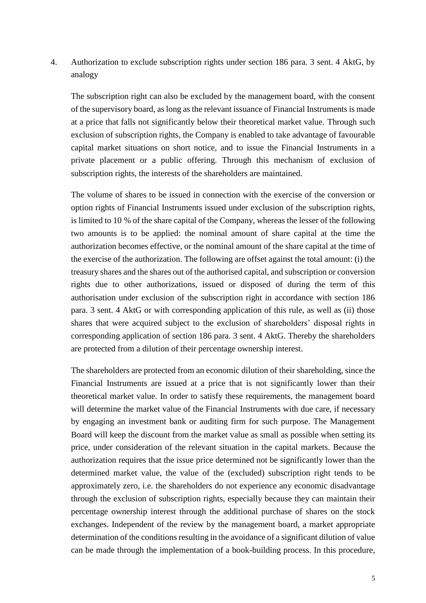4. Authorization to exclude subscription rights under section 186 para. 3 sent. 4 AktG, by analogy

The subscription right can also be excluded by the management board, with the consent of the supervisory board, as long as the relevant issuance of Financial Instruments is made at a price that falls not significantly below their theoretical market value. Through such exclusion of subscription rights, the Company is enabled to take advantage of favourable capital market situations on short notice, and to issue the Financial Instruments in a private placement or a public offering. Through this mechanism of exclusion of subscription rights, the interests of the shareholders are maintained.

The volume of shares to be issued in connection with the exercise of the conversion or option rights of Financial Instruments issued under exclusion of the subscription rights, is limited to 10 % of the share capital of the Company, whereas the lesser of the following two amounts is to be applied: the nominal amount of share capital at the time the authorization becomes effective, or the nominal amount of the share capital at the time of the exercise of the authorization. The following are offset against the total amount: (i) the treasury shares and the shares out of the authorised capital, and subscription or conversion rights due to other authorizations, issued or disposed of during the term of this authorisation under exclusion of the subscription right in accordance with section 186 para. 3 sent. 4 AktG or with corresponding application of this rule, as well as (ii) those shares that were acquired subject to the exclusion of shareholders' disposal rights in corresponding application of section 186 para. 3 sent. 4 AktG. Thereby the shareholders are protected from a dilution of their percentage ownership interest.

The shareholders are protected from an economic dilution of their shareholding, since the Financial Instruments are issued at a price that is not significantly lower than their theoretical market value. In order to satisfy these requirements, the management board will determine the market value of the Financial Instruments with due care, if necessary by engaging an investment bank or auditing firm for such purpose. The Management Board will keep the discount from the market value as small as possible when setting its price, under consideration of the relevant situation in the capital markets. Because the authorization requires that the issue price determined not be significantly lower than the determined market value, the value of the (excluded) subscription right tends to be approximately zero, i.e. the shareholders do not experience any economic disadvantage through the exclusion of subscription rights, especially because they can maintain their percentage ownership interest through the additional purchase of shares on the stock exchanges. Independent of the review by the management board, a market appropriate determination of the conditions resulting in the avoidance of a significant dilution of value can be made through the implementation of a book-building process. In this procedure,